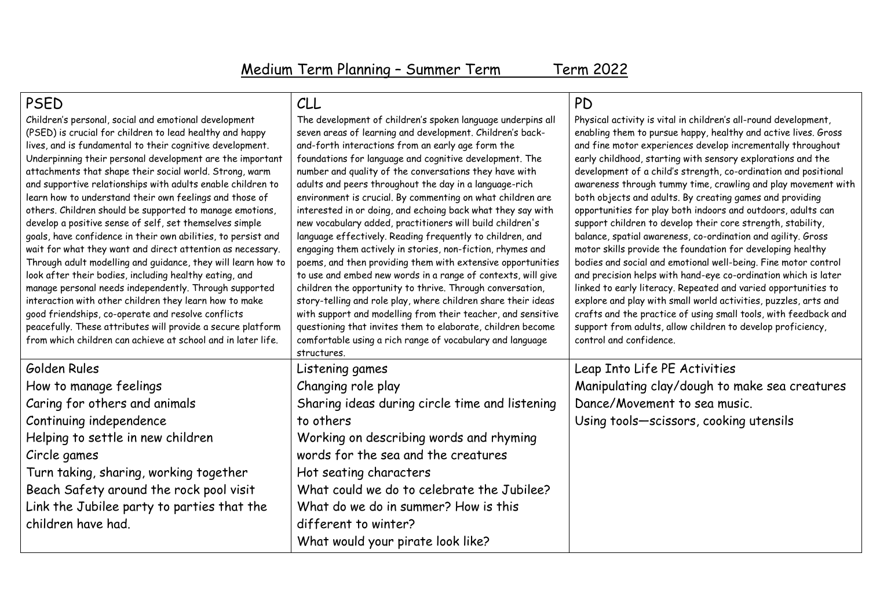| <b>PSED</b>                                                                                                                                                                                                                                                                                                                                                                                                                                                                                                                                                                                                                                                                                                                                                                                                                                                                                                                                                                                                                                                                                                               | CLL                                                                                                                                                                                                                                                                                                                                                                                                                                                                                                                                                                                                                                                                                                                                                                                                                                                                                                                                                                                                                                                                                                                                                       | <b>PD</b>                                                                                                                                                                                                                                                                                                                                                                                                                                                                                                                                                                                                                                                                                                                                                                                                                                                                                                                                                                                                                                                                                                                                                          |
|---------------------------------------------------------------------------------------------------------------------------------------------------------------------------------------------------------------------------------------------------------------------------------------------------------------------------------------------------------------------------------------------------------------------------------------------------------------------------------------------------------------------------------------------------------------------------------------------------------------------------------------------------------------------------------------------------------------------------------------------------------------------------------------------------------------------------------------------------------------------------------------------------------------------------------------------------------------------------------------------------------------------------------------------------------------------------------------------------------------------------|-----------------------------------------------------------------------------------------------------------------------------------------------------------------------------------------------------------------------------------------------------------------------------------------------------------------------------------------------------------------------------------------------------------------------------------------------------------------------------------------------------------------------------------------------------------------------------------------------------------------------------------------------------------------------------------------------------------------------------------------------------------------------------------------------------------------------------------------------------------------------------------------------------------------------------------------------------------------------------------------------------------------------------------------------------------------------------------------------------------------------------------------------------------|--------------------------------------------------------------------------------------------------------------------------------------------------------------------------------------------------------------------------------------------------------------------------------------------------------------------------------------------------------------------------------------------------------------------------------------------------------------------------------------------------------------------------------------------------------------------------------------------------------------------------------------------------------------------------------------------------------------------------------------------------------------------------------------------------------------------------------------------------------------------------------------------------------------------------------------------------------------------------------------------------------------------------------------------------------------------------------------------------------------------------------------------------------------------|
| Children's personal, social and emotional development<br>(PSED) is crucial for children to lead healthy and happy<br>lives, and is fundamental to their cognitive development.<br>Underpinning their personal development are the important<br>attachments that shape their social world. Strong, warm<br>and supportive relationships with adults enable children to<br>learn how to understand their own feelings and those of<br>others. Children should be supported to manage emotions,<br>develop a positive sense of self, set themselves simple<br>goals, have confidence in their own abilities, to persist and<br>wait for what they want and direct attention as necessary.<br>Through adult modelling and guidance, they will learn how to<br>look after their bodies, including healthy eating, and<br>manage personal needs independently. Through supported<br>interaction with other children they learn how to make<br>good friendships, co-operate and resolve conflicts<br>peacefully. These attributes will provide a secure platform<br>from which children can achieve at school and in later life. | The development of children's spoken language underpins all<br>seven areas of learning and development. Children's back-<br>and-forth interactions from an early age form the<br>foundations for language and cognitive development. The<br>number and quality of the conversations they have with<br>adults and peers throughout the day in a language-rich<br>environment is crucial. By commenting on what children are<br>interested in or doing, and echoing back what they say with<br>new vocabulary added, practitioners will build children's<br>language effectively. Reading frequently to children, and<br>engaging them actively in stories, non-fiction, rhymes and<br>poems, and then providing them with extensive opportunities<br>to use and embed new words in a range of contexts, will give<br>children the opportunity to thrive. Through conversation,<br>story-telling and role play, where children share their ideas<br>with support and modelling from their teacher, and sensitive<br>questioning that invites them to elaborate, children become<br>comfortable using a rich range of vocabulary and language<br>structures. | Physical activity is vital in children's all-round development,<br>enabling them to pursue happy, healthy and active lives. Gross<br>and fine motor experiences develop incrementally throughout<br>early childhood, starting with sensory explorations and the<br>development of a child's strength, co-ordination and positional<br>awareness through tummy time, crawling and play movement with<br>both objects and adults. By creating games and providing<br>opportunities for play both indoors and outdoors, adults can<br>support children to develop their core strength, stability,<br>balance, spatial awareness, co-ordination and agility. Gross<br>motor skills provide the foundation for developing healthy<br>bodies and social and emotional well-being. Fine motor control<br>and precision helps with hand-eye co-ordination which is later<br>linked to early literacy. Repeated and varied opportunities to<br>explore and play with small world activities, puzzles, arts and<br>crafts and the practice of using small tools, with feedback and<br>support from adults, allow children to develop proficiency,<br>control and confidence. |
| Golden Rules                                                                                                                                                                                                                                                                                                                                                                                                                                                                                                                                                                                                                                                                                                                                                                                                                                                                                                                                                                                                                                                                                                              | Listening games                                                                                                                                                                                                                                                                                                                                                                                                                                                                                                                                                                                                                                                                                                                                                                                                                                                                                                                                                                                                                                                                                                                                           | Leap Into Life PE Activities                                                                                                                                                                                                                                                                                                                                                                                                                                                                                                                                                                                                                                                                                                                                                                                                                                                                                                                                                                                                                                                                                                                                       |
| How to manage feelings                                                                                                                                                                                                                                                                                                                                                                                                                                                                                                                                                                                                                                                                                                                                                                                                                                                                                                                                                                                                                                                                                                    | Changing role play                                                                                                                                                                                                                                                                                                                                                                                                                                                                                                                                                                                                                                                                                                                                                                                                                                                                                                                                                                                                                                                                                                                                        | Manipulating clay/dough to make sea creatures                                                                                                                                                                                                                                                                                                                                                                                                                                                                                                                                                                                                                                                                                                                                                                                                                                                                                                                                                                                                                                                                                                                      |
| Caring for others and animals                                                                                                                                                                                                                                                                                                                                                                                                                                                                                                                                                                                                                                                                                                                                                                                                                                                                                                                                                                                                                                                                                             | Sharing ideas during circle time and listening                                                                                                                                                                                                                                                                                                                                                                                                                                                                                                                                                                                                                                                                                                                                                                                                                                                                                                                                                                                                                                                                                                            | Dance/Movement to sea music.                                                                                                                                                                                                                                                                                                                                                                                                                                                                                                                                                                                                                                                                                                                                                                                                                                                                                                                                                                                                                                                                                                                                       |
| Continuing independence                                                                                                                                                                                                                                                                                                                                                                                                                                                                                                                                                                                                                                                                                                                                                                                                                                                                                                                                                                                                                                                                                                   | to others                                                                                                                                                                                                                                                                                                                                                                                                                                                                                                                                                                                                                                                                                                                                                                                                                                                                                                                                                                                                                                                                                                                                                 | Using tools-scissors, cooking utensils                                                                                                                                                                                                                                                                                                                                                                                                                                                                                                                                                                                                                                                                                                                                                                                                                                                                                                                                                                                                                                                                                                                             |
| Helping to settle in new children                                                                                                                                                                                                                                                                                                                                                                                                                                                                                                                                                                                                                                                                                                                                                                                                                                                                                                                                                                                                                                                                                         | Working on describing words and rhyming                                                                                                                                                                                                                                                                                                                                                                                                                                                                                                                                                                                                                                                                                                                                                                                                                                                                                                                                                                                                                                                                                                                   |                                                                                                                                                                                                                                                                                                                                                                                                                                                                                                                                                                                                                                                                                                                                                                                                                                                                                                                                                                                                                                                                                                                                                                    |
| Circle games                                                                                                                                                                                                                                                                                                                                                                                                                                                                                                                                                                                                                                                                                                                                                                                                                                                                                                                                                                                                                                                                                                              | words for the sea and the creatures                                                                                                                                                                                                                                                                                                                                                                                                                                                                                                                                                                                                                                                                                                                                                                                                                                                                                                                                                                                                                                                                                                                       |                                                                                                                                                                                                                                                                                                                                                                                                                                                                                                                                                                                                                                                                                                                                                                                                                                                                                                                                                                                                                                                                                                                                                                    |
| Turn taking, sharing, working together                                                                                                                                                                                                                                                                                                                                                                                                                                                                                                                                                                                                                                                                                                                                                                                                                                                                                                                                                                                                                                                                                    | Hot seating characters                                                                                                                                                                                                                                                                                                                                                                                                                                                                                                                                                                                                                                                                                                                                                                                                                                                                                                                                                                                                                                                                                                                                    |                                                                                                                                                                                                                                                                                                                                                                                                                                                                                                                                                                                                                                                                                                                                                                                                                                                                                                                                                                                                                                                                                                                                                                    |
| Beach Safety around the rock pool visit                                                                                                                                                                                                                                                                                                                                                                                                                                                                                                                                                                                                                                                                                                                                                                                                                                                                                                                                                                                                                                                                                   | What could we do to celebrate the Jubilee?                                                                                                                                                                                                                                                                                                                                                                                                                                                                                                                                                                                                                                                                                                                                                                                                                                                                                                                                                                                                                                                                                                                |                                                                                                                                                                                                                                                                                                                                                                                                                                                                                                                                                                                                                                                                                                                                                                                                                                                                                                                                                                                                                                                                                                                                                                    |
| Link the Jubilee party to parties that the                                                                                                                                                                                                                                                                                                                                                                                                                                                                                                                                                                                                                                                                                                                                                                                                                                                                                                                                                                                                                                                                                | What do we do in summer? How is this                                                                                                                                                                                                                                                                                                                                                                                                                                                                                                                                                                                                                                                                                                                                                                                                                                                                                                                                                                                                                                                                                                                      |                                                                                                                                                                                                                                                                                                                                                                                                                                                                                                                                                                                                                                                                                                                                                                                                                                                                                                                                                                                                                                                                                                                                                                    |
| children have had.                                                                                                                                                                                                                                                                                                                                                                                                                                                                                                                                                                                                                                                                                                                                                                                                                                                                                                                                                                                                                                                                                                        | different to winter?                                                                                                                                                                                                                                                                                                                                                                                                                                                                                                                                                                                                                                                                                                                                                                                                                                                                                                                                                                                                                                                                                                                                      |                                                                                                                                                                                                                                                                                                                                                                                                                                                                                                                                                                                                                                                                                                                                                                                                                                                                                                                                                                                                                                                                                                                                                                    |
|                                                                                                                                                                                                                                                                                                                                                                                                                                                                                                                                                                                                                                                                                                                                                                                                                                                                                                                                                                                                                                                                                                                           | What would your pirate look like?                                                                                                                                                                                                                                                                                                                                                                                                                                                                                                                                                                                                                                                                                                                                                                                                                                                                                                                                                                                                                                                                                                                         |                                                                                                                                                                                                                                                                                                                                                                                                                                                                                                                                                                                                                                                                                                                                                                                                                                                                                                                                                                                                                                                                                                                                                                    |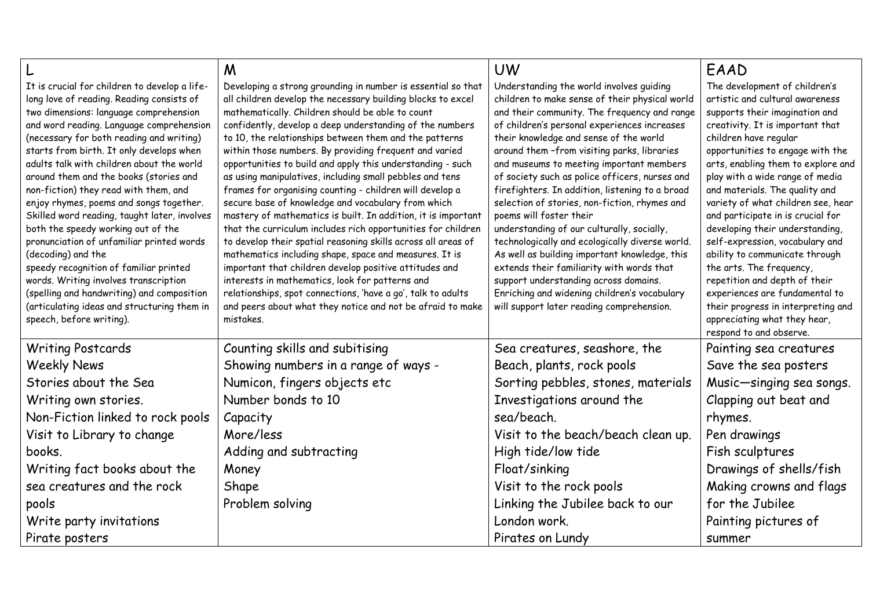|                                                                                                                                                                                                                                                                                                                                                                                                                                                                                                                                                                                                                                                                                                                                                                                                                          | M                                                                                                                                                                                                                                                                                                                                                                                                                                                                                                                                                                                                                                                                                                                                                                                                                                                                                                                                                                                                                                                                                                                               | <b>UW</b>                                                                                                                                                                                                                                                                                                                                                                                                                                                                                                                                                                                                                                                                                                                                                                                                                                             | EAAD                                                                                                                                                                                                                                                                                                                                                                                                                                                                                                                                                                                                                                                                                              |
|--------------------------------------------------------------------------------------------------------------------------------------------------------------------------------------------------------------------------------------------------------------------------------------------------------------------------------------------------------------------------------------------------------------------------------------------------------------------------------------------------------------------------------------------------------------------------------------------------------------------------------------------------------------------------------------------------------------------------------------------------------------------------------------------------------------------------|---------------------------------------------------------------------------------------------------------------------------------------------------------------------------------------------------------------------------------------------------------------------------------------------------------------------------------------------------------------------------------------------------------------------------------------------------------------------------------------------------------------------------------------------------------------------------------------------------------------------------------------------------------------------------------------------------------------------------------------------------------------------------------------------------------------------------------------------------------------------------------------------------------------------------------------------------------------------------------------------------------------------------------------------------------------------------------------------------------------------------------|-------------------------------------------------------------------------------------------------------------------------------------------------------------------------------------------------------------------------------------------------------------------------------------------------------------------------------------------------------------------------------------------------------------------------------------------------------------------------------------------------------------------------------------------------------------------------------------------------------------------------------------------------------------------------------------------------------------------------------------------------------------------------------------------------------------------------------------------------------|---------------------------------------------------------------------------------------------------------------------------------------------------------------------------------------------------------------------------------------------------------------------------------------------------------------------------------------------------------------------------------------------------------------------------------------------------------------------------------------------------------------------------------------------------------------------------------------------------------------------------------------------------------------------------------------------------|
| It is crucial for children to develop a life-<br>long love of reading. Reading consists of<br>two dimensions: language comprehension<br>and word reading. Language comprehension<br>(necessary for both reading and writing)<br>starts from birth. It only develops when<br>adults talk with children about the world<br>around them and the books (stories and<br>non-fiction) they read with them, and<br>enjoy rhymes, poems and songs together.<br>Skilled word reading, taught later, involves<br>both the speedy working out of the<br>pronunciation of unfamiliar printed words<br>(decoding) and the<br>speedy recognition of familiar printed<br>words. Writing involves transcription<br>(spelling and handwriting) and composition<br>(articulating ideas and structuring them in<br>speech, before writing). | Developing a strong grounding in number is essential so that<br>all children develop the necessary building blocks to excel<br>mathematically. Children should be able to count<br>confidently, develop a deep understanding of the numbers<br>to 10, the relationships between them and the patterns<br>within those numbers. By providing frequent and varied<br>opportunities to build and apply this understanding - such<br>as using manipulatives, including small pebbles and tens<br>frames for organising counting - children will develop a<br>secure base of knowledge and vocabulary from which<br>mastery of mathematics is built. In addition, it is important<br>that the curriculum includes rich opportunities for children<br>to develop their spatial reasoning skills across all areas of<br>mathematics including shape, space and measures. It is<br>important that children develop positive attitudes and<br>interests in mathematics, look for patterns and<br>relationships, spot connections, 'have a go', talk to adults<br>and peers about what they notice and not be afraid to make<br>mistakes. | Understanding the world involves quiding<br>children to make sense of their physical world<br>and their community. The frequency and range<br>of children's personal experiences increases<br>their knowledge and sense of the world<br>around them -from visiting parks, libraries<br>and museums to meeting important members<br>of society such as police officers, nurses and<br>firefighters. In addition, listening to a broad<br>selection of stories, non-fiction, rhymes and<br>poems will foster their<br>understanding of our culturally, socially,<br>technologically and ecologically diverse world.<br>As well as building important knowledge, this<br>extends their familiarity with words that<br>support understanding across domains.<br>Enriching and widening children's vocabulary<br>will support later reading comprehension. | The development of children's<br>artistic and cultural awareness<br>supports their imagination and<br>creativity. It is important that<br>children have regular<br>opportunities to engage with the<br>arts, enabling them to explore and<br>play with a wide range of media<br>and materials. The quality and<br>variety of what children see, hear<br>and participate in is crucial for<br>developing their understanding,<br>self-expression, vocabulary and<br>ability to communicate through<br>the arts. The frequency,<br>repetition and depth of their<br>experiences are fundamental to<br>their progress in interpreting and<br>appreciating what they hear,<br>respond to and observe. |
| <b>Writing Postcards</b>                                                                                                                                                                                                                                                                                                                                                                                                                                                                                                                                                                                                                                                                                                                                                                                                 | Counting skills and subitising                                                                                                                                                                                                                                                                                                                                                                                                                                                                                                                                                                                                                                                                                                                                                                                                                                                                                                                                                                                                                                                                                                  | Sea creatures, seashore, the                                                                                                                                                                                                                                                                                                                                                                                                                                                                                                                                                                                                                                                                                                                                                                                                                          | Painting sea creatures                                                                                                                                                                                                                                                                                                                                                                                                                                                                                                                                                                                                                                                                            |
| <b>Weekly News</b>                                                                                                                                                                                                                                                                                                                                                                                                                                                                                                                                                                                                                                                                                                                                                                                                       | Showing numbers in a range of ways -                                                                                                                                                                                                                                                                                                                                                                                                                                                                                                                                                                                                                                                                                                                                                                                                                                                                                                                                                                                                                                                                                            | Beach, plants, rock pools                                                                                                                                                                                                                                                                                                                                                                                                                                                                                                                                                                                                                                                                                                                                                                                                                             | Save the sea posters                                                                                                                                                                                                                                                                                                                                                                                                                                                                                                                                                                                                                                                                              |
| Stories about the Sea                                                                                                                                                                                                                                                                                                                                                                                                                                                                                                                                                                                                                                                                                                                                                                                                    | Numicon, fingers objects etc                                                                                                                                                                                                                                                                                                                                                                                                                                                                                                                                                                                                                                                                                                                                                                                                                                                                                                                                                                                                                                                                                                    | Sorting pebbles, stones, materials                                                                                                                                                                                                                                                                                                                                                                                                                                                                                                                                                                                                                                                                                                                                                                                                                    | Music-singing sea songs.                                                                                                                                                                                                                                                                                                                                                                                                                                                                                                                                                                                                                                                                          |
| Writing own stories.                                                                                                                                                                                                                                                                                                                                                                                                                                                                                                                                                                                                                                                                                                                                                                                                     | Number bonds to 10                                                                                                                                                                                                                                                                                                                                                                                                                                                                                                                                                                                                                                                                                                                                                                                                                                                                                                                                                                                                                                                                                                              | Investigations around the                                                                                                                                                                                                                                                                                                                                                                                                                                                                                                                                                                                                                                                                                                                                                                                                                             | Clapping out beat and                                                                                                                                                                                                                                                                                                                                                                                                                                                                                                                                                                                                                                                                             |
| Non-Fiction linked to rock pools                                                                                                                                                                                                                                                                                                                                                                                                                                                                                                                                                                                                                                                                                                                                                                                         | Capacity                                                                                                                                                                                                                                                                                                                                                                                                                                                                                                                                                                                                                                                                                                                                                                                                                                                                                                                                                                                                                                                                                                                        | sea/beach.                                                                                                                                                                                                                                                                                                                                                                                                                                                                                                                                                                                                                                                                                                                                                                                                                                            | rhymes.                                                                                                                                                                                                                                                                                                                                                                                                                                                                                                                                                                                                                                                                                           |
| Visit to Library to change                                                                                                                                                                                                                                                                                                                                                                                                                                                                                                                                                                                                                                                                                                                                                                                               | More/less                                                                                                                                                                                                                                                                                                                                                                                                                                                                                                                                                                                                                                                                                                                                                                                                                                                                                                                                                                                                                                                                                                                       | Visit to the beach/beach clean up.                                                                                                                                                                                                                                                                                                                                                                                                                                                                                                                                                                                                                                                                                                                                                                                                                    | Pen drawings                                                                                                                                                                                                                                                                                                                                                                                                                                                                                                                                                                                                                                                                                      |
| books.                                                                                                                                                                                                                                                                                                                                                                                                                                                                                                                                                                                                                                                                                                                                                                                                                   | Adding and subtracting                                                                                                                                                                                                                                                                                                                                                                                                                                                                                                                                                                                                                                                                                                                                                                                                                                                                                                                                                                                                                                                                                                          | High tide/low tide                                                                                                                                                                                                                                                                                                                                                                                                                                                                                                                                                                                                                                                                                                                                                                                                                                    | Fish sculptures                                                                                                                                                                                                                                                                                                                                                                                                                                                                                                                                                                                                                                                                                   |
| Writing fact books about the                                                                                                                                                                                                                                                                                                                                                                                                                                                                                                                                                                                                                                                                                                                                                                                             | Money                                                                                                                                                                                                                                                                                                                                                                                                                                                                                                                                                                                                                                                                                                                                                                                                                                                                                                                                                                                                                                                                                                                           | Float/sinking                                                                                                                                                                                                                                                                                                                                                                                                                                                                                                                                                                                                                                                                                                                                                                                                                                         | Drawings of shells/fish                                                                                                                                                                                                                                                                                                                                                                                                                                                                                                                                                                                                                                                                           |
| sea creatures and the rock                                                                                                                                                                                                                                                                                                                                                                                                                                                                                                                                                                                                                                                                                                                                                                                               | Shape                                                                                                                                                                                                                                                                                                                                                                                                                                                                                                                                                                                                                                                                                                                                                                                                                                                                                                                                                                                                                                                                                                                           | Visit to the rock pools                                                                                                                                                                                                                                                                                                                                                                                                                                                                                                                                                                                                                                                                                                                                                                                                                               | Making crowns and flags                                                                                                                                                                                                                                                                                                                                                                                                                                                                                                                                                                                                                                                                           |
| pools                                                                                                                                                                                                                                                                                                                                                                                                                                                                                                                                                                                                                                                                                                                                                                                                                    | Problem solving                                                                                                                                                                                                                                                                                                                                                                                                                                                                                                                                                                                                                                                                                                                                                                                                                                                                                                                                                                                                                                                                                                                 | Linking the Jubilee back to our                                                                                                                                                                                                                                                                                                                                                                                                                                                                                                                                                                                                                                                                                                                                                                                                                       | for the Jubilee                                                                                                                                                                                                                                                                                                                                                                                                                                                                                                                                                                                                                                                                                   |
| Write party invitations                                                                                                                                                                                                                                                                                                                                                                                                                                                                                                                                                                                                                                                                                                                                                                                                  |                                                                                                                                                                                                                                                                                                                                                                                                                                                                                                                                                                                                                                                                                                                                                                                                                                                                                                                                                                                                                                                                                                                                 | London work.                                                                                                                                                                                                                                                                                                                                                                                                                                                                                                                                                                                                                                                                                                                                                                                                                                          | Painting pictures of                                                                                                                                                                                                                                                                                                                                                                                                                                                                                                                                                                                                                                                                              |
| Pirate posters                                                                                                                                                                                                                                                                                                                                                                                                                                                                                                                                                                                                                                                                                                                                                                                                           |                                                                                                                                                                                                                                                                                                                                                                                                                                                                                                                                                                                                                                                                                                                                                                                                                                                                                                                                                                                                                                                                                                                                 | Pirates on Lundy                                                                                                                                                                                                                                                                                                                                                                                                                                                                                                                                                                                                                                                                                                                                                                                                                                      | summer                                                                                                                                                                                                                                                                                                                                                                                                                                                                                                                                                                                                                                                                                            |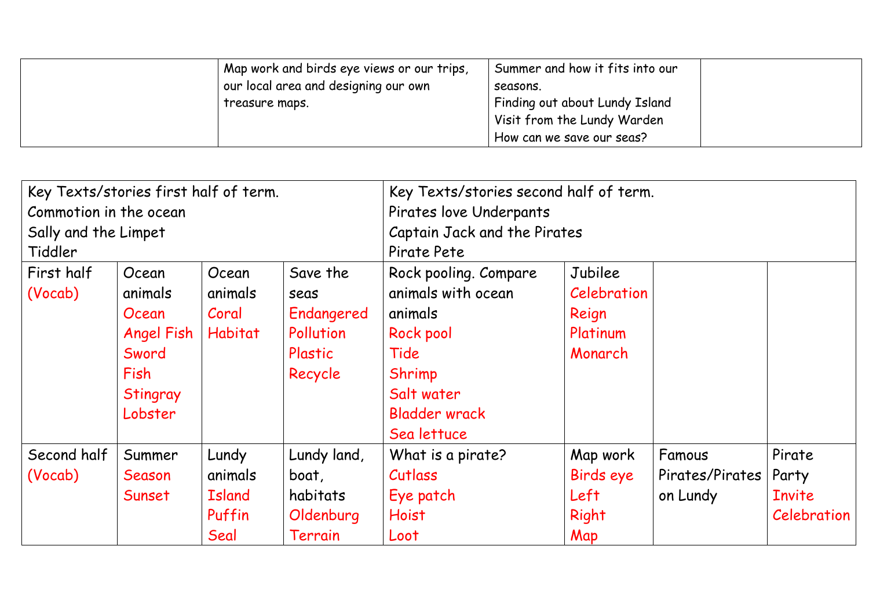| Map work and birds eye views or our trips, | Summer and how it fits into our |
|--------------------------------------------|---------------------------------|
| our local area and designing our own       | seasons.                        |
| treasure maps.                             | Finding out about Lundy Island  |
|                                            | Visit from the Lundy Warden     |
|                                            | How can we save our seas?       |

| Key Texts/stories first half of term. |                   |                              |             | Key Texts/stories second half of term. |             |                 |               |
|---------------------------------------|-------------------|------------------------------|-------------|----------------------------------------|-------------|-----------------|---------------|
| Commotion in the ocean                |                   | Pirates love Underpants      |             |                                        |             |                 |               |
| Sally and the Limpet                  |                   | Captain Jack and the Pirates |             |                                        |             |                 |               |
| Tiddler                               |                   |                              | Pirate Pete |                                        |             |                 |               |
| First half                            | Ocean             | Ocean                        | Save the    | Rock pooling. Compare                  | Jubilee     |                 |               |
| (Vocab)                               | animals           | animals                      | seas        | animals with ocean                     | Celebration |                 |               |
|                                       | Ocean             | Coral                        | Endangered  | animals                                | Reign       |                 |               |
|                                       | <b>Angel Fish</b> | <b>Habitat</b>               | Pollution   | Rock pool                              | Platinum    |                 |               |
|                                       | Sword             |                              | Plastic     | Tide                                   | Monarch     |                 |               |
|                                       | Fish              |                              | Recycle     | Shrimp                                 |             |                 |               |
|                                       | Stingray          |                              |             | Salt water                             |             |                 |               |
|                                       | Lobster           |                              |             | <b>Bladder wrack</b>                   |             |                 |               |
|                                       |                   |                              |             | Sea lettuce                            |             |                 |               |
| Second half                           | Summer            | Lundy                        | Lundy land, | What is a pirate?                      | Map work    | Famous          | Pirate        |
| (Vocab)                               | Season            | animals                      | boat,       | Cutlass                                | Birds eye   | Pirates/Pirates | Party         |
|                                       | Sunset            | <b>Island</b>                | habitats    | Eye patch                              | Left        | on Lundy        | <b>Invite</b> |
|                                       |                   | Puffin                       | Oldenburg   | <b>Hoist</b>                           | Right       |                 | Celebration   |
|                                       |                   | Seal                         | Terrain     | Loot                                   | Map         |                 |               |